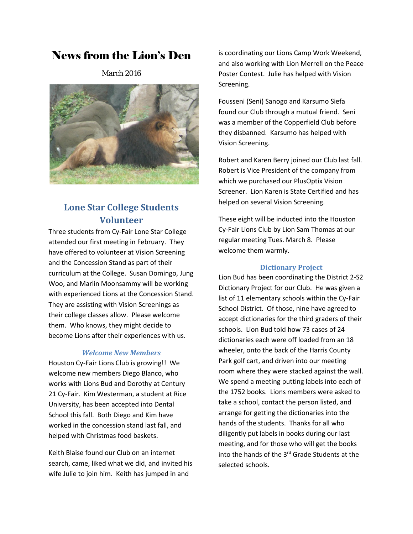# News from the Lion's Den

March 2016



# **Lone Star College Students Volunteer**

Three students from Cy-Fair Lone Star College attended our first meeting in February. They have offered to volunteer at Vision Screening and the Concession Stand as part of their curriculum at the College. Susan Domingo, Jung Woo, and Marlin Moonsammy will be working with experienced Lions at the Concession Stand. They are assisting with Vision Screenings as their college classes allow. Please welcome them. Who knows, they might decide to become Lions after their experiences with us.

## *Welcome New Members*

Houston Cy-Fair Lions Club is growing!! We welcome new members Diego Blanco, who works with Lions Bud and Dorothy at Century 21 Cy-Fair. Kim Westerman, a student at Rice University, has been accepted into Dental School this fall. Both Diego and Kim have worked in the concession stand last fall, and helped with Christmas food baskets.

Keith Blaise found our Club on an internet search, came, liked what we did, and invited his wife Julie to join him. Keith has jumped in and

is coordinating our Lions Camp Work Weekend, and also working with Lion Merrell on the Peace Poster Contest. Julie has helped with Vision Screening.

Fousseni (Seni) Sanogo and Karsumo Siefa found our Club through a mutual friend. Seni was a member of the Copperfield Club before they disbanned. Karsumo has helped with Vision Screening.

Robert and Karen Berry joined our Club last fall. Robert is Vice President of the company from which we purchased our PlusOptix Vision Screener. Lion Karen is State Certified and has helped on several Vision Screening.

These eight will be inducted into the Houston Cy-Fair Lions Club by Lion Sam Thomas at our regular meeting Tues. March 8. Please welcome them warmly.

### **Dictionary Project**

Lion Bud has been coordinating the District 2-S2 Dictionary Project for our Club. He was given a list of 11 elementary schools within the Cy-Fair School District. Of those, nine have agreed to accept dictionaries for the third graders of their schools. Lion Bud told how 73 cases of 24 dictionaries each were off loaded from an 18 wheeler, onto the back of the Harris County Park golf cart, and driven into our meeting room where they were stacked against the wall. We spend a meeting putting labels into each of the 1752 books. Lions members were asked to take a school, contact the person listed, and arrange for getting the dictionaries into the hands of the students. Thanks for all who diligently put labels in books during our last meeting, and for those who will get the books into the hands of the 3rd Grade Students at the selected schools.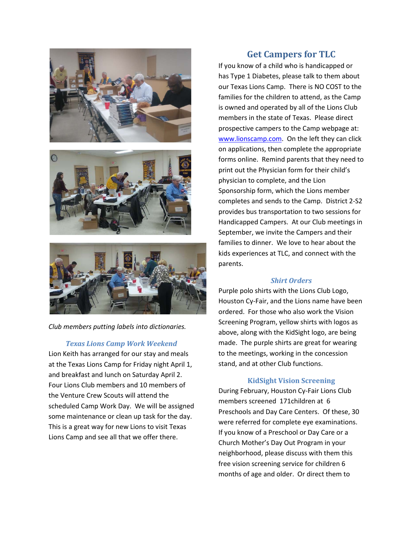





*Club members putting labels into dictionaries.*

### *Texas Lions Camp Work Weekend*

Lion Keith has arranged for our stay and meals at the Texas Lions Camp for Friday night April 1, and breakfast and lunch on Saturday April 2. Four Lions Club members and 10 members of the Venture Crew Scouts will attend the scheduled Camp Work Day. We will be assigned some maintenance or clean up task for the day. This is a great way for new Lions to visit Texas Lions Camp and see all that we offer there.

# **Get Campers for TLC**

If you know of a child who is handicapped or has Type 1 Diabetes, please talk to them about our Texas Lions Camp. There is NO COST to the families for the children to attend, as the Camp is owned and operated by all of the Lions Club members in the state of Texas. Please direct prospective campers to the Camp webpage at: [www.lionscamp.com.](http://www.lionscamp.com/) On the left they can click on applications, then complete the appropriate forms online. Remind parents that they need to print out the Physician form for their child's physician to complete, and the Lion Sponsorship form, which the Lions member completes and sends to the Camp. District 2-S2 provides bus transportation to two sessions for Handicapped Campers. At our Club meetings in September, we invite the Campers and their families to dinner. We love to hear about the kids experiences at TLC, and connect with the parents.

#### *Shirt Orders*

Purple polo shirts with the Lions Club Logo, Houston Cy-Fair, and the Lions name have been ordered. For those who also work the Vision Screening Program, yellow shirts with logos as above, along with the KidSight logo, are being made. The purple shirts are great for wearing to the meetings, working in the concession stand, and at other Club functions.

## **KidSight Vision Screening**

During February, Houston Cy-Fair Lions Club members screened 171children at 6 Preschools and Day Care Centers. Of these, 30 were referred for complete eye examinations. If you know of a Preschool or Day Care or a Church Mother's Day Out Program in your neighborhood, please discuss with them this free vision screening service for children 6 months of age and older. Or direct them to